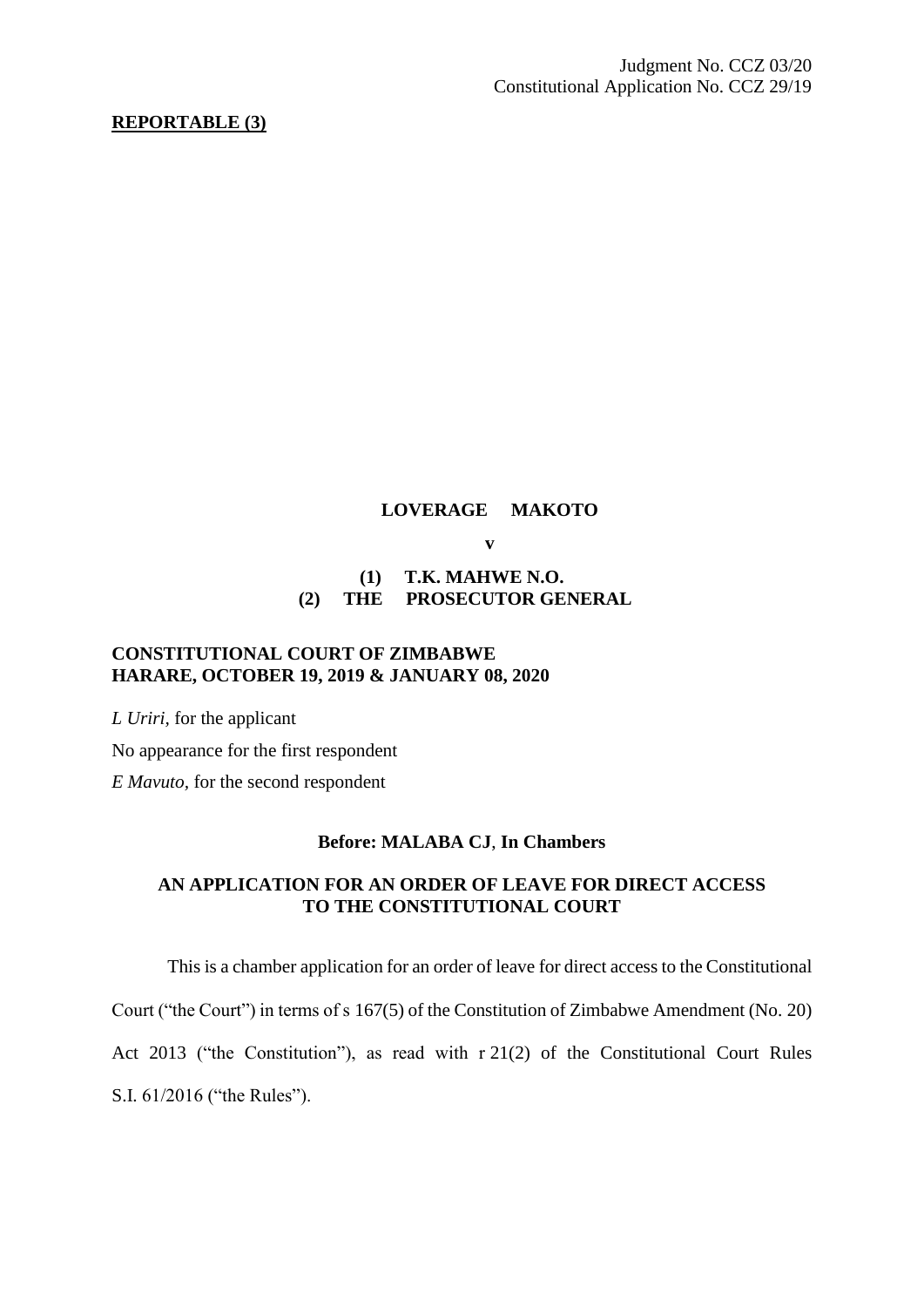## **REPORTABLE (3)**

### **LOVERAGE MAKOTO**

**v**

# **(1) T.K. MAHWE N.O. (2) THE PROSECUTOR GENERAL**

## **CONSTITUTIONAL COURT OF ZIMBABWE HARARE, OCTOBER 19, 2019 & JANUARY 08, 2020**

*L Uriri,* for the applicant

No appearance for the first respondent

*E Mavuto,* for the second respondent

## **Before: MALABA CJ**, **In Chambers**

## **AN APPLICATION FOR AN ORDER OF LEAVE FOR DIRECT ACCESS TO THE CONSTITUTIONAL COURT**

This is a chamber application for an order of leave for direct access to the Constitutional

Court ("the Court") in terms of s 167(5) of the Constitution of Zimbabwe Amendment (No. 20)

Act 2013 ("the Constitution"), as read with r 21(2) of the Constitutional Court Rules

S.I. 61/2016 ("the Rules").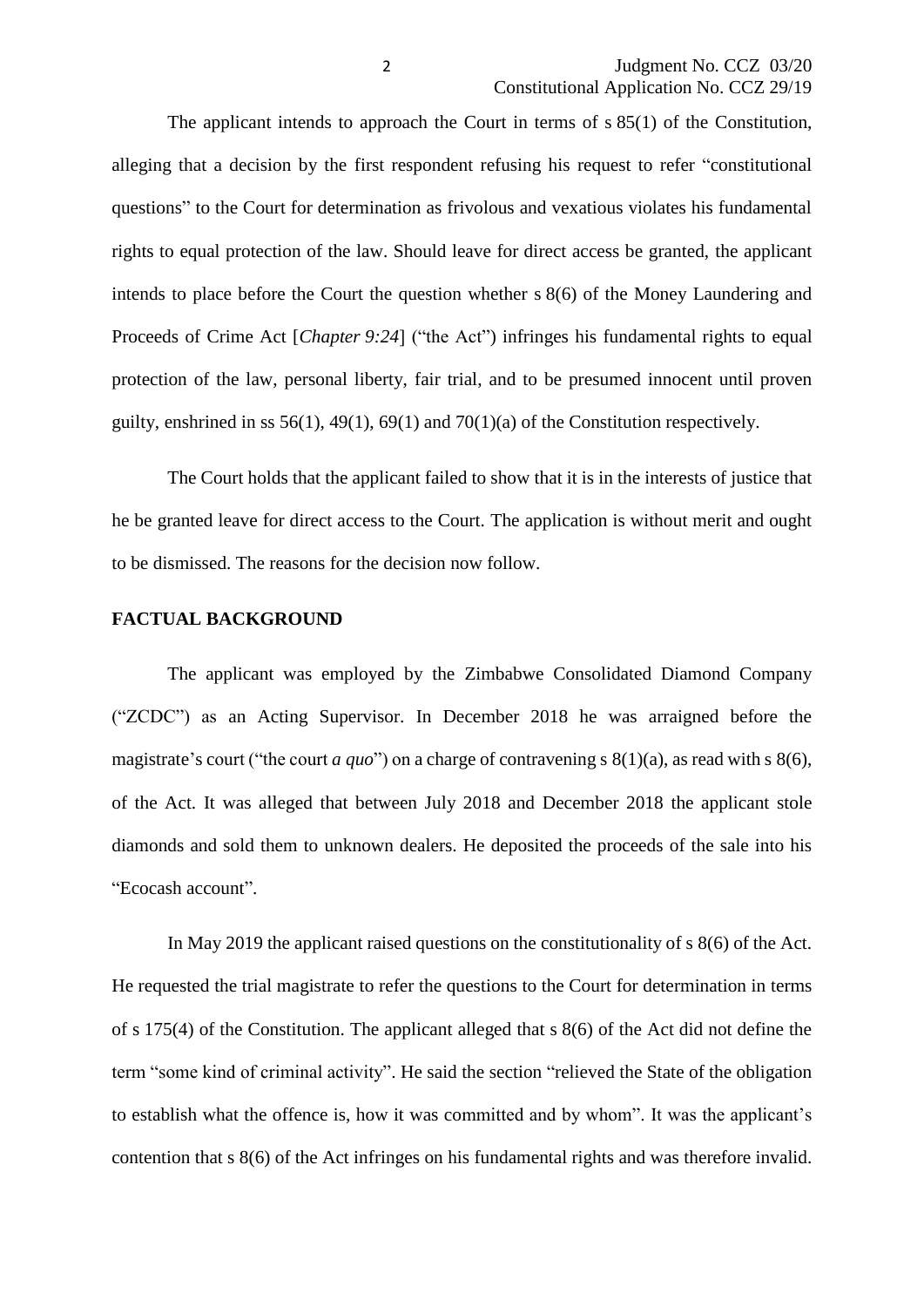The applicant intends to approach the Court in terms of s 85(1) of the Constitution, alleging that a decision by the first respondent refusing his request to refer "constitutional questions" to the Court for determination as frivolous and vexatious violates his fundamental rights to equal protection of the law. Should leave for direct access be granted, the applicant intends to place before the Court the question whether s 8(6) of the Money Laundering and Proceeds of Crime Act [*Chapter* 9:24] ("the Act") infringes his fundamental rights to equal protection of the law, personal liberty, fair trial, and to be presumed innocent until proven guilty, enshrined in ss  $56(1)$ ,  $49(1)$ ,  $69(1)$  and  $70(1)(a)$  of the Constitution respectively.

The Court holds that the applicant failed to show that it is in the interests of justice that he be granted leave for direct access to the Court. The application is without merit and ought to be dismissed. The reasons for the decision now follow.

#### **FACTUAL BACKGROUND**

The applicant was employed by the Zimbabwe Consolidated Diamond Company ("ZCDC") as an Acting Supervisor. In December 2018 he was arraigned before the magistrate's court ("the court *a quo*") on a charge of contravening s 8(1)(a), as read with s 8(6), of the Act. It was alleged that between July 2018 and December 2018 the applicant stole diamonds and sold them to unknown dealers. He deposited the proceeds of the sale into his "Ecocash account".

In May 2019 the applicant raised questions on the constitutionality of s 8(6) of the Act. He requested the trial magistrate to refer the questions to the Court for determination in terms of s 175(4) of the Constitution. The applicant alleged that s 8(6) of the Act did not define the term "some kind of criminal activity". He said the section "relieved the State of the obligation to establish what the offence is, how it was committed and by whom". It was the applicant's contention that s 8(6) of the Act infringes on his fundamental rights and was therefore invalid.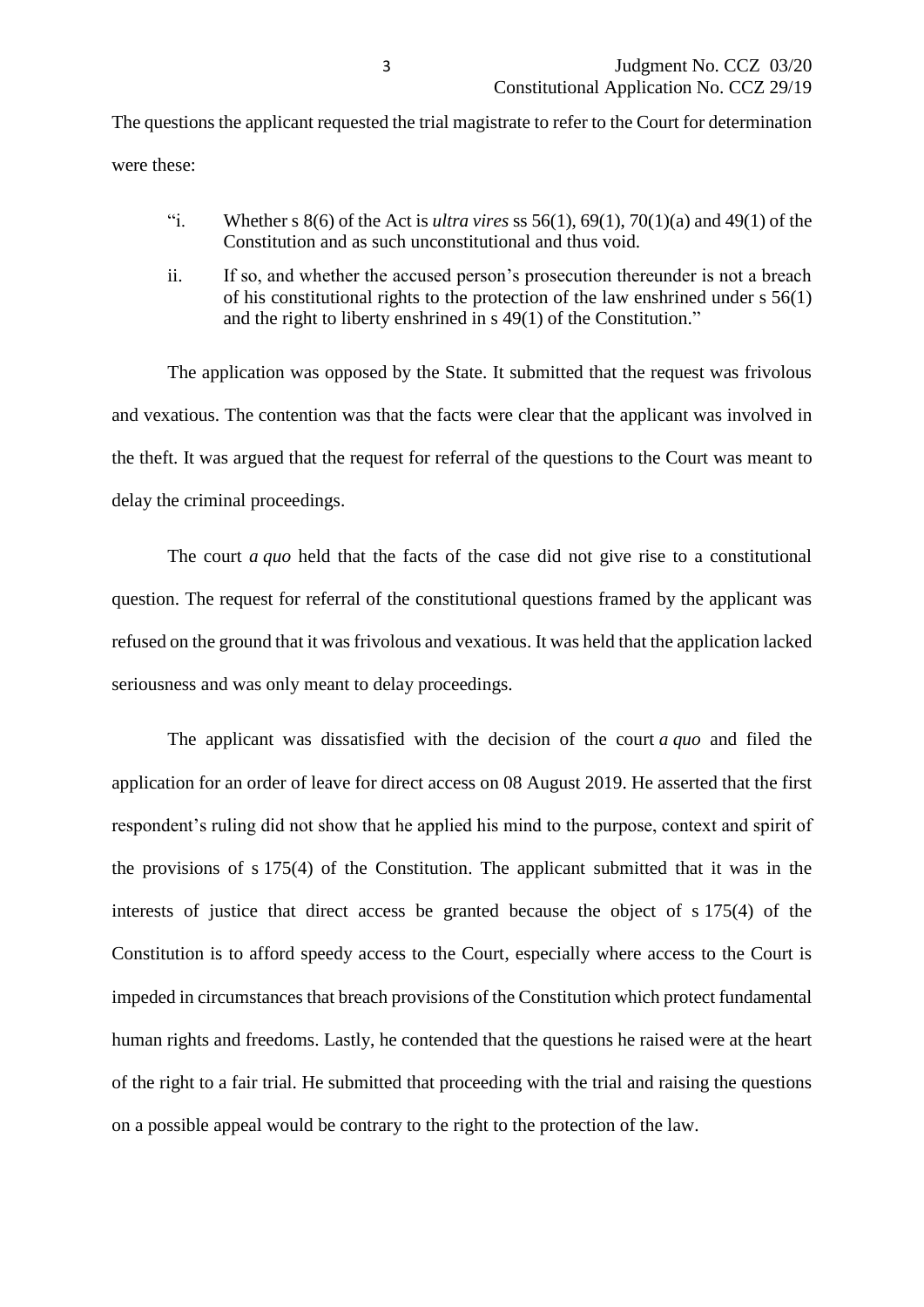The questions the applicant requested the trial magistrate to refer to the Court for determination were these:

- "i. Whether s  $8(6)$  of the Act is *ultra vires* ss  $56(1)$ ,  $69(1)$ ,  $70(1)(a)$  and  $49(1)$  of the Constitution and as such unconstitutional and thus void.
- ii. If so, and whether the accused person's prosecution thereunder is not a breach of his constitutional rights to the protection of the law enshrined under s 56(1) and the right to liberty enshrined in s 49(1) of the Constitution."

The application was opposed by the State. It submitted that the request was frivolous and vexatious. The contention was that the facts were clear that the applicant was involved in the theft. It was argued that the request for referral of the questions to the Court was meant to delay the criminal proceedings.

The court *a quo* held that the facts of the case did not give rise to a constitutional question. The request for referral of the constitutional questions framed by the applicant was refused on the ground that it was frivolous and vexatious. It was held that the application lacked seriousness and was only meant to delay proceedings.

The applicant was dissatisfied with the decision of the court *a quo* and filed the application for an order of leave for direct access on 08 August 2019. He asserted that the first respondent's ruling did not show that he applied his mind to the purpose, context and spirit of the provisions of s 175(4) of the Constitution. The applicant submitted that it was in the interests of justice that direct access be granted because the object of s 175(4) of the Constitution is to afford speedy access to the Court, especially where access to the Court is impeded in circumstances that breach provisions of the Constitution which protect fundamental human rights and freedoms. Lastly, he contended that the questions he raised were at the heart of the right to a fair trial. He submitted that proceeding with the trial and raising the questions on a possible appeal would be contrary to the right to the protection of the law.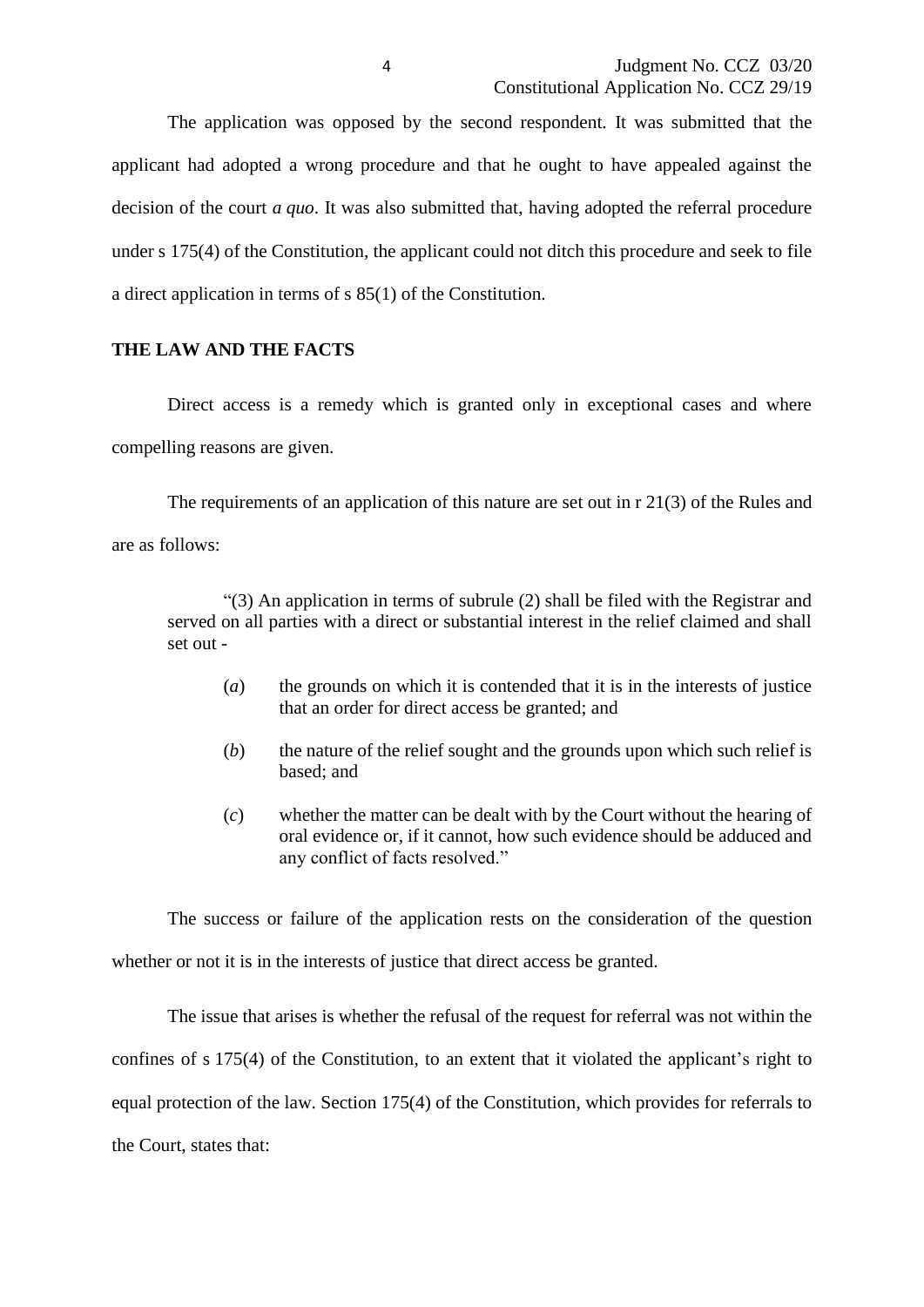The application was opposed by the second respondent. It was submitted that the applicant had adopted a wrong procedure and that he ought to have appealed against the decision of the court *a quo*. It was also submitted that, having adopted the referral procedure under s 175(4) of the Constitution, the applicant could not ditch this procedure and seek to file a direct application in terms of s 85(1) of the Constitution.

## **THE LAW AND THE FACTS**

Direct access is a remedy which is granted only in exceptional cases and where compelling reasons are given.

The requirements of an application of this nature are set out in r 21(3) of the Rules and are as follows:

"(3) An application in terms of subrule (2) shall be filed with the Registrar and served on all parties with a direct or substantial interest in the relief claimed and shall set out -

- (*a*) the grounds on which it is contended that it is in the interests of justice that an order for direct access be granted; and
- (*b*) the nature of the relief sought and the grounds upon which such relief is based; and
- (*c*) whether the matter can be dealt with by the Court without the hearing of oral evidence or, if it cannot, how such evidence should be adduced and any conflict of facts resolved."

The success or failure of the application rests on the consideration of the question whether or not it is in the interests of justice that direct access be granted.

The issue that arises is whether the refusal of the request for referral was not within the confines of s 175(4) of the Constitution, to an extent that it violated the applicant's right to equal protection of the law. Section 175(4) of the Constitution, which provides for referrals to the Court, states that: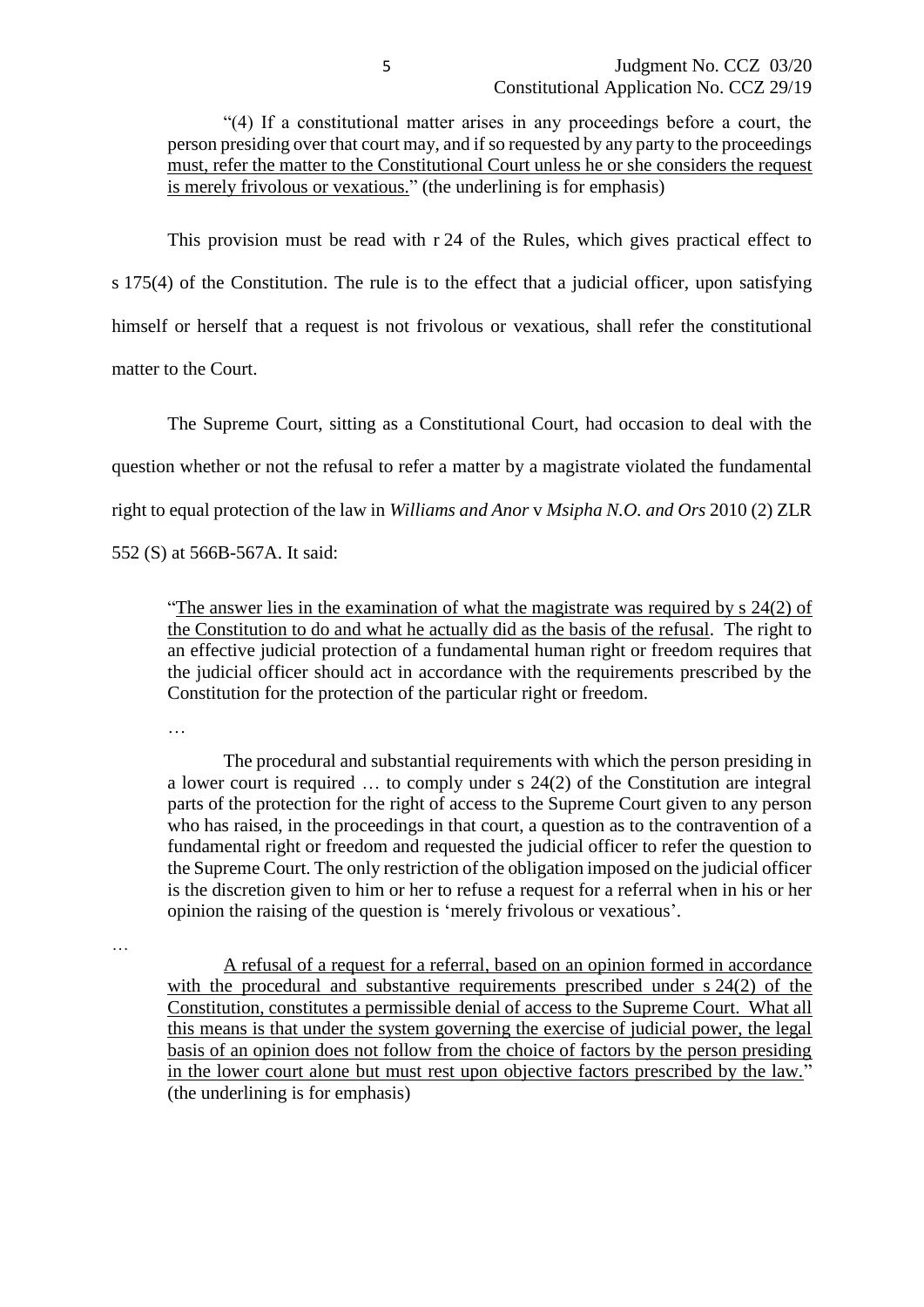"(4) If a constitutional matter arises in any proceedings before a court, the person presiding over that court may, and if so requested by any party to the proceedings must, refer the matter to the Constitutional Court unless he or she considers the request is merely frivolous or vexatious." (the underlining is for emphasis)

This provision must be read with r 24 of the Rules, which gives practical effect to s 175(4) of the Constitution. The rule is to the effect that a judicial officer, upon satisfying himself or herself that a request is not frivolous or vexatious, shall refer the constitutional matter to the Court.

The Supreme Court, sitting as a Constitutional Court, had occasion to deal with the question whether or not the refusal to refer a matter by a magistrate violated the fundamental right to equal protection of the law in *Williams and Anor* v *Msipha N.O. and Ors* 2010 (2) ZLR 552 (S) at 566B-567A. It said:

"The answer lies in the examination of what the magistrate was required by s 24(2) of the Constitution to do and what he actually did as the basis of the refusal. The right to an effective judicial protection of a fundamental human right or freedom requires that the judicial officer should act in accordance with the requirements prescribed by the Constitution for the protection of the particular right or freedom.

…

The procedural and substantial requirements with which the person presiding in a lower court is required … to comply under s 24(2) of the Constitution are integral parts of the protection for the right of access to the Supreme Court given to any person who has raised, in the proceedings in that court, a question as to the contravention of a fundamental right or freedom and requested the judicial officer to refer the question to the Supreme Court. The only restriction of the obligation imposed on the judicial officer is the discretion given to him or her to refuse a request for a referral when in his or her opinion the raising of the question is 'merely frivolous or vexatious'.

…

A refusal of a request for a referral, based on an opinion formed in accordance with the procedural and substantive requirements prescribed under s 24(2) of the Constitution, constitutes a permissible denial of access to the Supreme Court. What all this means is that under the system governing the exercise of judicial power, the legal basis of an opinion does not follow from the choice of factors by the person presiding in the lower court alone but must rest upon objective factors prescribed by the law." (the underlining is for emphasis)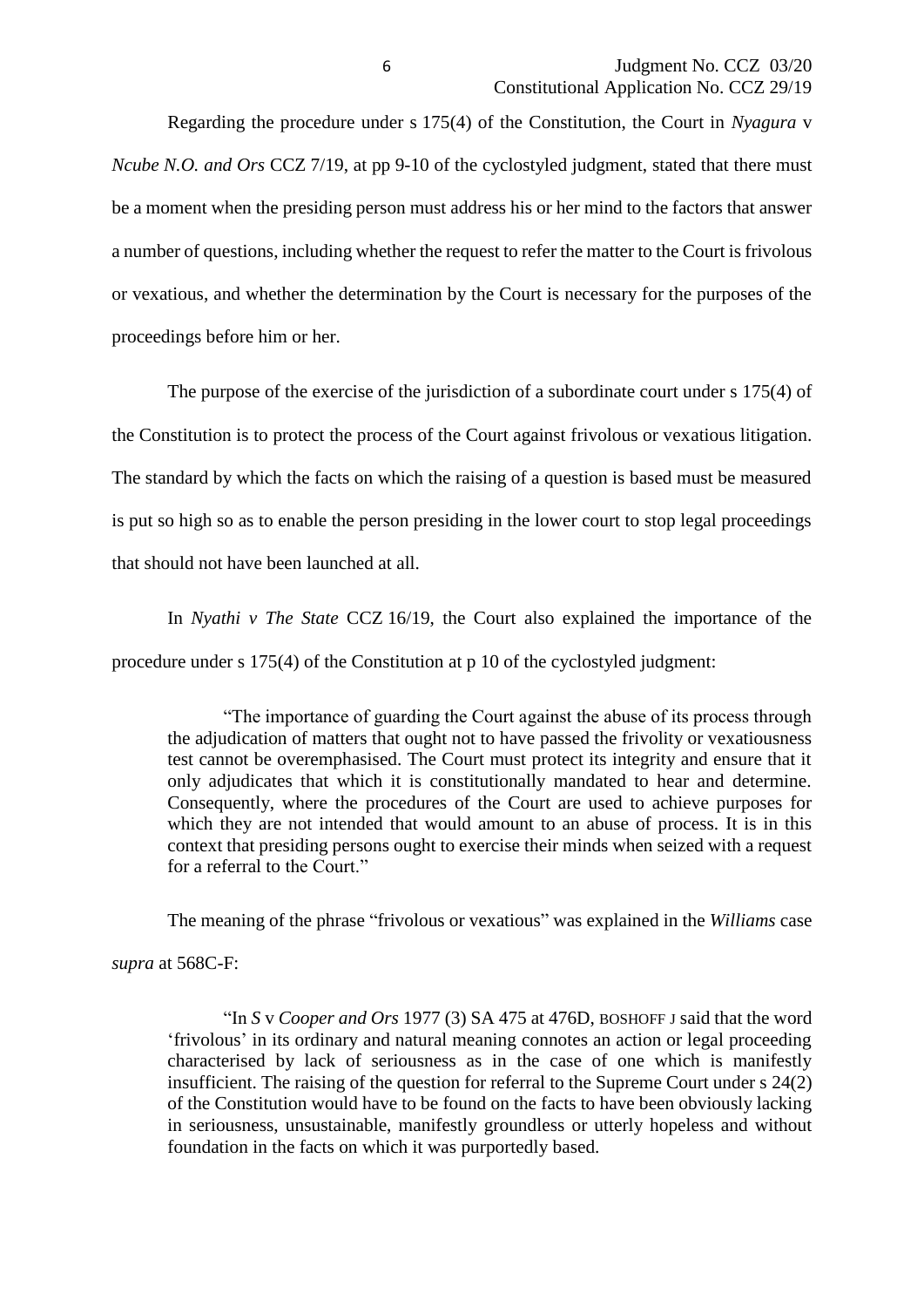Regarding the procedure under s 175(4) of the Constitution, the Court in *Nyagura* v *Ncube N.O. and Ors* CCZ 7/19, at pp 9-10 of the cyclostyled judgment, stated that there must be a moment when the presiding person must address his or her mind to the factors that answer a number of questions, including whether the request to refer the matter to the Court is frivolous or vexatious, and whether the determination by the Court is necessary for the purposes of the proceedings before him or her.

The purpose of the exercise of the jurisdiction of a subordinate court under s 175(4) of the Constitution is to protect the process of the Court against frivolous or vexatious litigation. The standard by which the facts on which the raising of a question is based must be measured is put so high so as to enable the person presiding in the lower court to stop legal proceedings that should not have been launched at all.

In *Nyathi v The State* CCZ 16/19, the Court also explained the importance of the procedure under s 175(4) of the Constitution at p 10 of the cyclostyled judgment:

"The importance of guarding the Court against the abuse of its process through the adjudication of matters that ought not to have passed the frivolity or vexatiousness test cannot be overemphasised. The Court must protect its integrity and ensure that it only adjudicates that which it is constitutionally mandated to hear and determine. Consequently, where the procedures of the Court are used to achieve purposes for which they are not intended that would amount to an abuse of process. It is in this context that presiding persons ought to exercise their minds when seized with a request for a referral to the Court."

The meaning of the phrase "frivolous or vexatious" was explained in the *Williams* case *supra* at 568C-F:

"In *S* v *Cooper and Ors* 1977 (3) SA 475 at 476D, BOSHOFF J said that the word 'frivolous' in its ordinary and natural meaning connotes an action or legal proceeding characterised by lack of seriousness as in the case of one which is manifestly insufficient. The raising of the question for referral to the Supreme Court under s 24(2) of the Constitution would have to be found on the facts to have been obviously lacking in seriousness, unsustainable, manifestly groundless or utterly hopeless and without foundation in the facts on which it was purportedly based.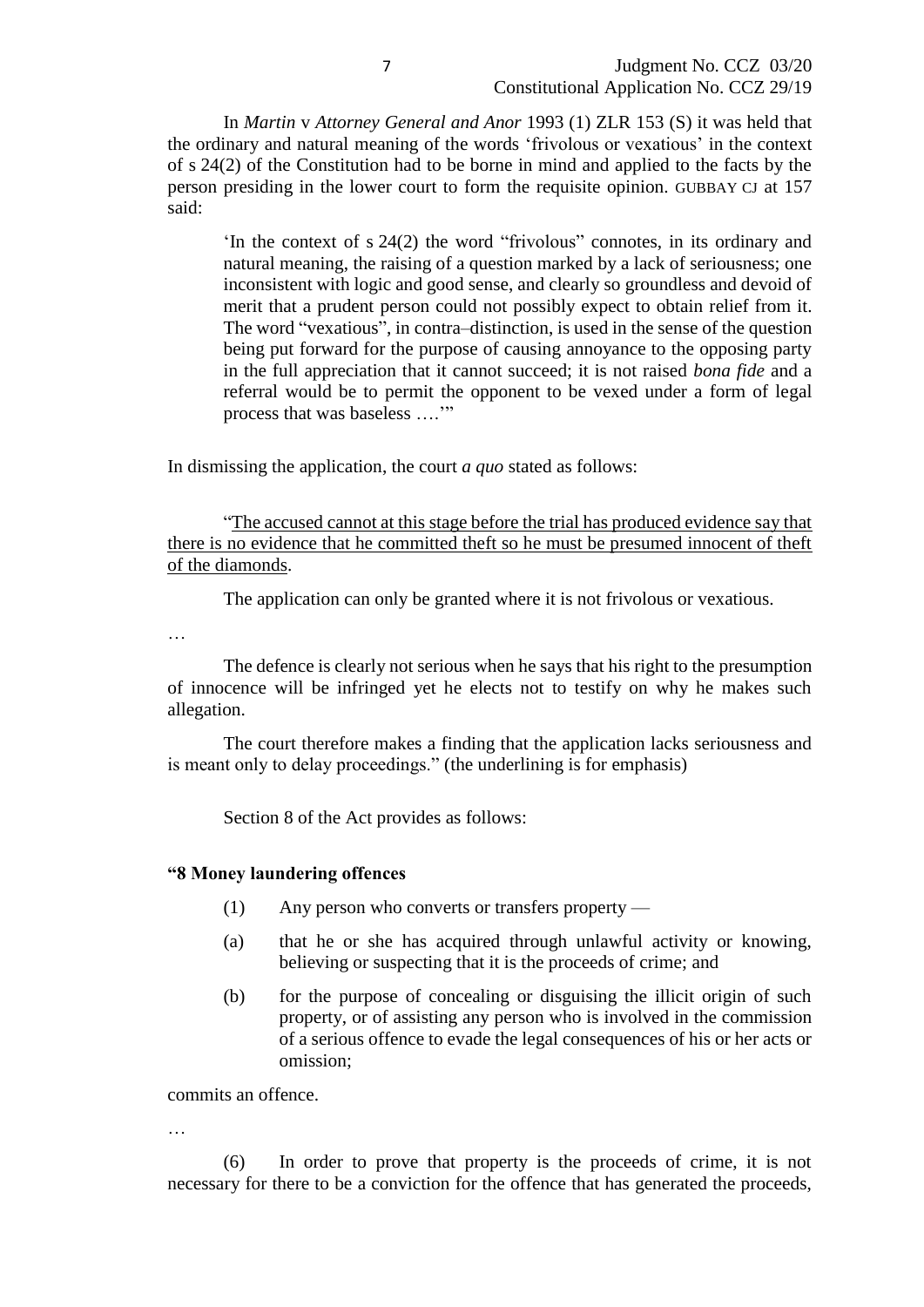In *Martin* v *Attorney General and Anor* 1993 (1) ZLR 153 (S) it was held that the ordinary and natural meaning of the words 'frivolous or vexatious' in the context of s 24(2) of the Constitution had to be borne in mind and applied to the facts by the person presiding in the lower court to form the requisite opinion. GUBBAY CJ at 157 said:

'In the context of s 24(2) the word "frivolous" connotes, in its ordinary and natural meaning, the raising of a question marked by a lack of seriousness; one inconsistent with logic and good sense, and clearly so groundless and devoid of merit that a prudent person could not possibly expect to obtain relief from it. The word "vexatious", in contra–distinction, is used in the sense of the question being put forward for the purpose of causing annoyance to the opposing party in the full appreciation that it cannot succeed; it is not raised *bona fide* and a referral would be to permit the opponent to be vexed under a form of legal process that was baseless ….'"

In dismissing the application, the court *a quo* stated as follows:

"The accused cannot at this stage before the trial has produced evidence say that there is no evidence that he committed theft so he must be presumed innocent of theft of the diamonds.

The application can only be granted where it is not frivolous or vexatious.

…

The defence is clearly not serious when he says that his right to the presumption of innocence will be infringed yet he elects not to testify on why he makes such allegation.

The court therefore makes a finding that the application lacks seriousness and is meant only to delay proceedings." (the underlining is for emphasis)

Section 8 of the Act provides as follows:

### **"8 Money laundering offences**

- (1) Any person who converts or transfers property —
- (a) that he or she has acquired through unlawful activity or knowing, believing or suspecting that it is the proceeds of crime; and
- (b) for the purpose of concealing or disguising the illicit origin of such property, or of assisting any person who is involved in the commission of a serious offence to evade the legal consequences of his or her acts or omission;

commits an offence.

…

(6) In order to prove that property is the proceeds of crime, it is not necessary for there to be a conviction for the offence that has generated the proceeds,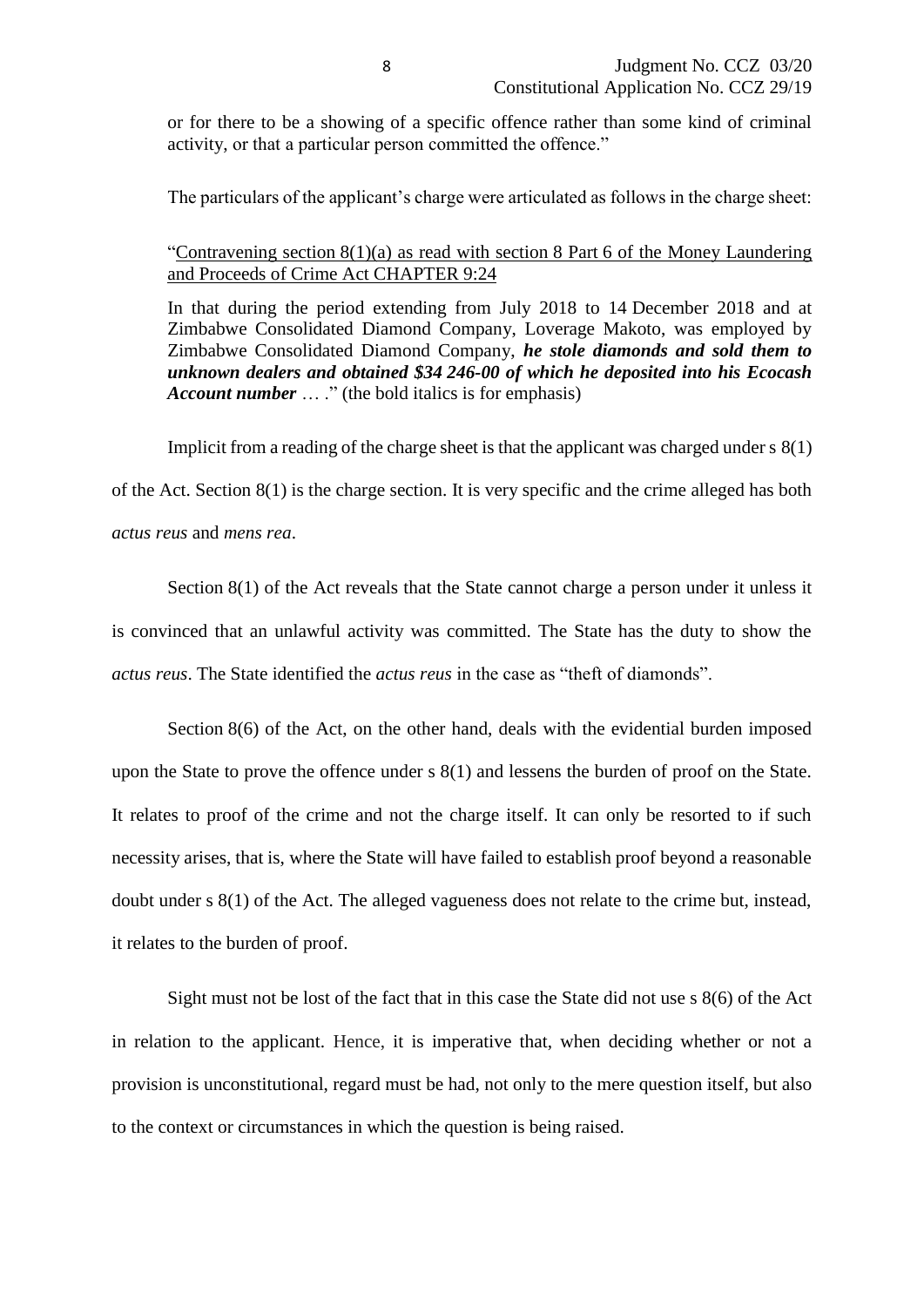or for there to be a showing of a specific offence rather than some kind of criminal activity, or that a particular person committed the offence."

The particulars of the applicant's charge were articulated as follows in the charge sheet:

### "Contravening section 8(1)(a) as read with section 8 Part 6 of the Money Laundering and Proceeds of Crime Act CHAPTER 9:24

In that during the period extending from July 2018 to 14 December 2018 and at Zimbabwe Consolidated Diamond Company, Loverage Makoto, was employed by Zimbabwe Consolidated Diamond Company, *he stole diamonds and sold them to unknown dealers and obtained \$34 246-00 of which he deposited into his Ecocash Account number* ... ." (the bold italics is for emphasis)

Implicit from a reading of the charge sheet is that the applicant was charged under s 8(1)

of the Act. Section 8(1) is the charge section. It is very specific and the crime alleged has both *actus reus* and *mens rea*.

Section 8(1) of the Act reveals that the State cannot charge a person under it unless it is convinced that an unlawful activity was committed. The State has the duty to show the *actus reus*. The State identified the *actus reus* in the case as "theft of diamonds".

Section 8(6) of the Act, on the other hand, deals with the evidential burden imposed upon the State to prove the offence under s 8(1) and lessens the burden of proof on the State. It relates to proof of the crime and not the charge itself. It can only be resorted to if such necessity arises, that is, where the State will have failed to establish proof beyond a reasonable doubt under s 8(1) of the Act. The alleged vagueness does not relate to the crime but, instead, it relates to the burden of proof.

Sight must not be lost of the fact that in this case the State did not use s 8(6) of the Act in relation to the applicant. Hence, it is imperative that, when deciding whether or not a provision is unconstitutional, regard must be had, not only to the mere question itself, but also to the context or circumstances in which the question is being raised.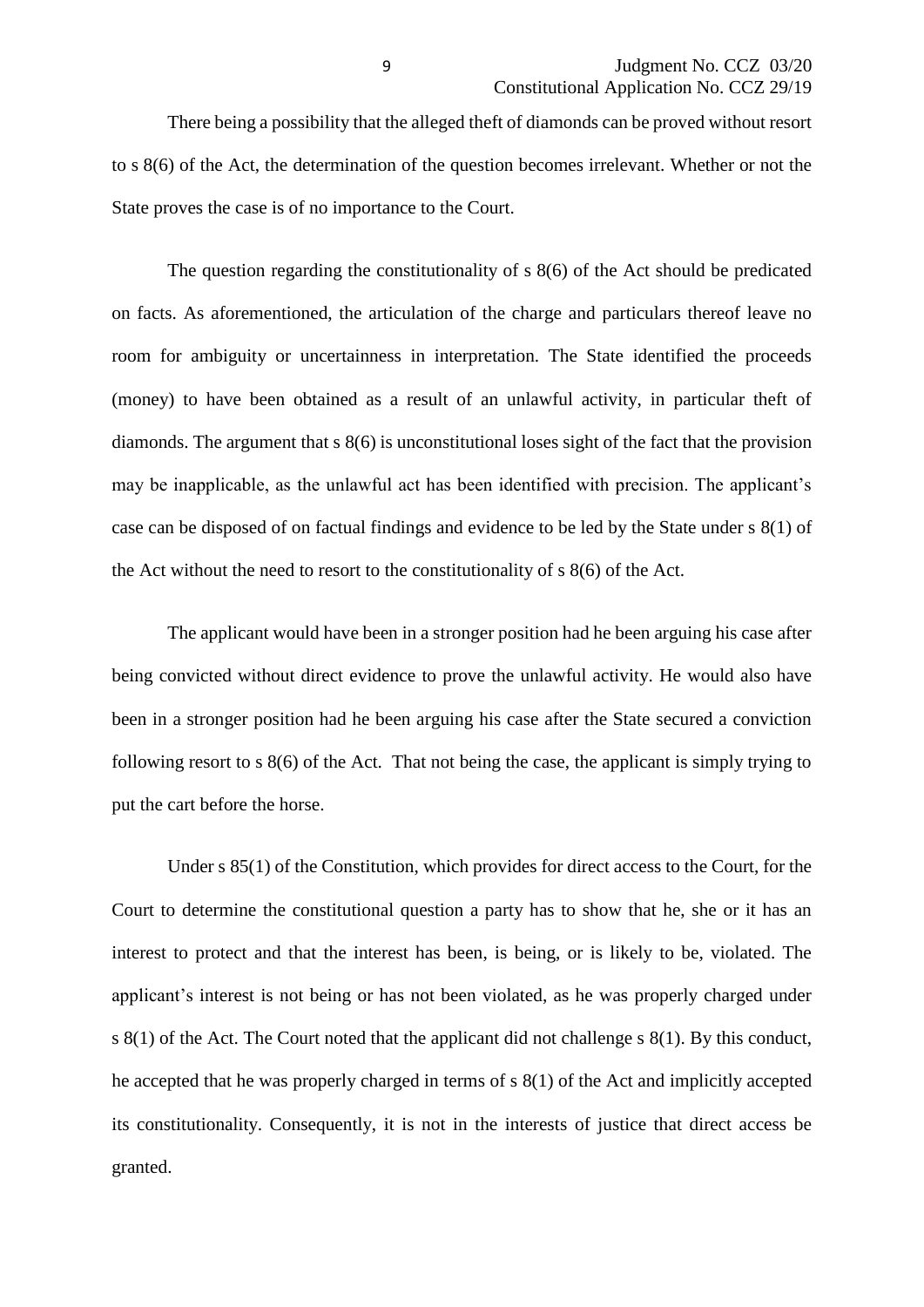There being a possibility that the alleged theft of diamonds can be proved without resort to s 8(6) of the Act, the determination of the question becomes irrelevant. Whether or not the State proves the case is of no importance to the Court.

The question regarding the constitutionality of s 8(6) of the Act should be predicated on facts. As aforementioned, the articulation of the charge and particulars thereof leave no room for ambiguity or uncertainness in interpretation. The State identified the proceeds (money) to have been obtained as a result of an unlawful activity, in particular theft of diamonds. The argument that s 8(6) is unconstitutional loses sight of the fact that the provision may be inapplicable, as the unlawful act has been identified with precision. The applicant's case can be disposed of on factual findings and evidence to be led by the State under s 8(1) of the Act without the need to resort to the constitutionality of s 8(6) of the Act.

The applicant would have been in a stronger position had he been arguing his case after being convicted without direct evidence to prove the unlawful activity. He would also have been in a stronger position had he been arguing his case after the State secured a conviction following resort to s 8(6) of the Act. That not being the case, the applicant is simply trying to put the cart before the horse.

Under s 85(1) of the Constitution, which provides for direct access to the Court, for the Court to determine the constitutional question a party has to show that he, she or it has an interest to protect and that the interest has been, is being, or is likely to be, violated. The applicant's interest is not being or has not been violated, as he was properly charged under s 8(1) of the Act. The Court noted that the applicant did not challenge s 8(1). By this conduct, he accepted that he was properly charged in terms of s 8(1) of the Act and implicitly accepted its constitutionality. Consequently, it is not in the interests of justice that direct access be granted.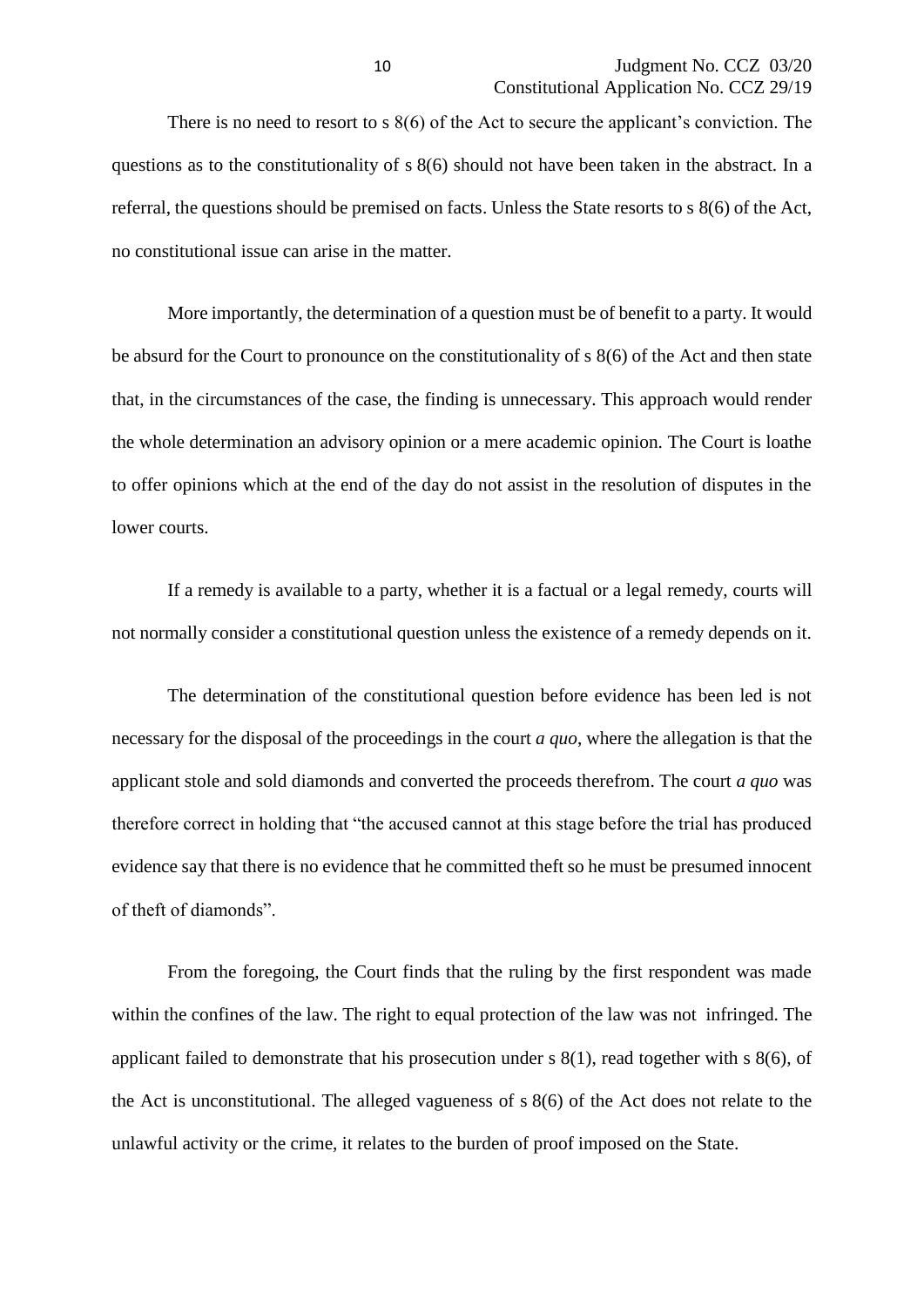There is no need to resort to s 8(6) of the Act to secure the applicant's conviction. The questions as to the constitutionality of s 8(6) should not have been taken in the abstract. In a referral, the questions should be premised on facts. Unless the State resorts to s 8(6) of the Act, no constitutional issue can arise in the matter.

More importantly, the determination of a question must be of benefit to a party. It would be absurd for the Court to pronounce on the constitutionality of s 8(6) of the Act and then state that, in the circumstances of the case, the finding is unnecessary. This approach would render the whole determination an advisory opinion or a mere academic opinion. The Court is loathe to offer opinions which at the end of the day do not assist in the resolution of disputes in the lower courts.

If a remedy is available to a party, whether it is a factual or a legal remedy, courts will not normally consider a constitutional question unless the existence of a remedy depends on it.

The determination of the constitutional question before evidence has been led is not necessary for the disposal of the proceedings in the court *a quo*, where the allegation is that the applicant stole and sold diamonds and converted the proceeds therefrom. The court *a quo* was therefore correct in holding that "the accused cannot at this stage before the trial has produced evidence say that there is no evidence that he committed theft so he must be presumed innocent of theft of diamonds".

From the foregoing, the Court finds that the ruling by the first respondent was made within the confines of the law. The right to equal protection of the law was not infringed. The applicant failed to demonstrate that his prosecution under s 8(1), read together with s 8(6), of the Act is unconstitutional. The alleged vagueness of s 8(6) of the Act does not relate to the unlawful activity or the crime, it relates to the burden of proof imposed on the State.